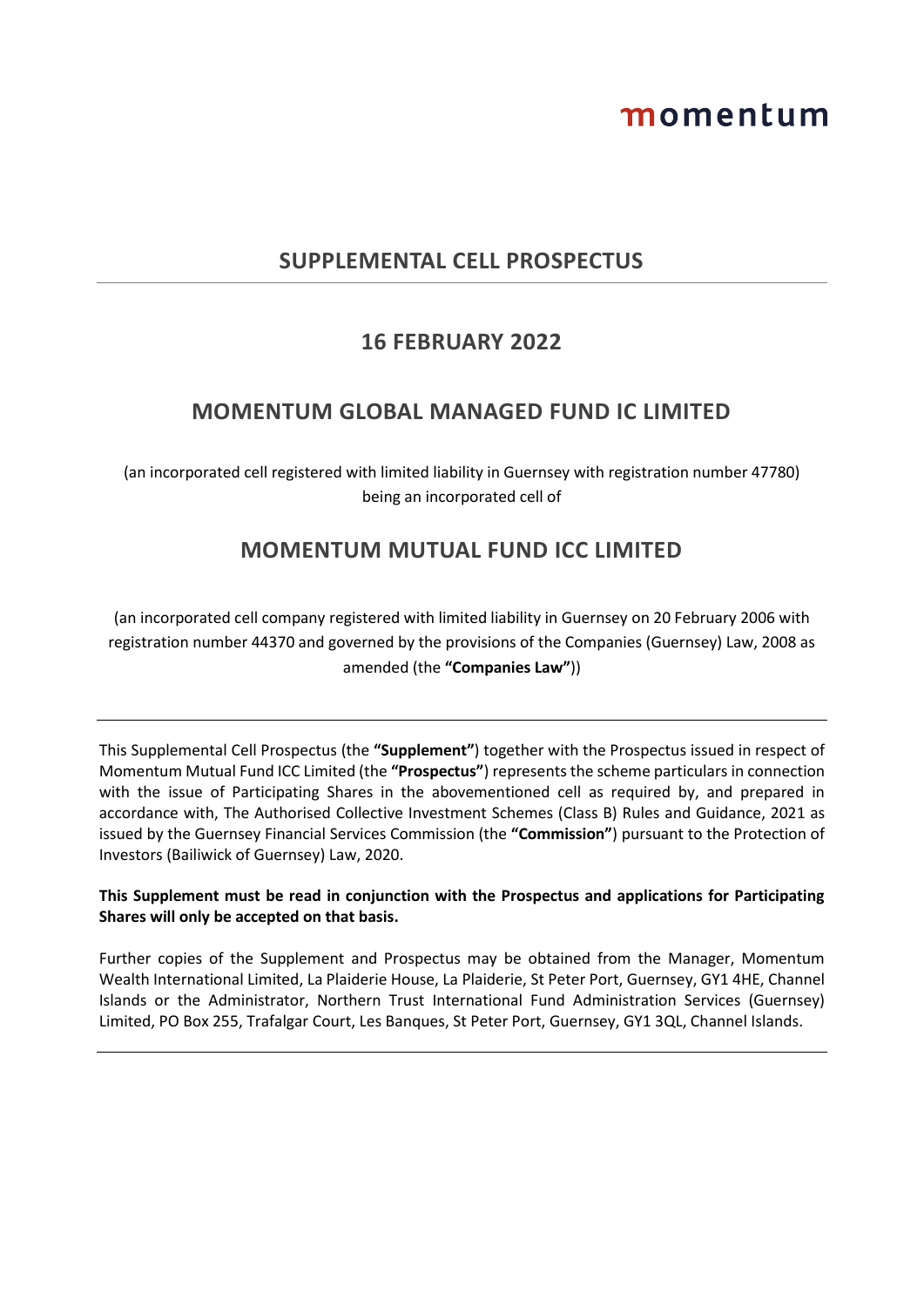# momentum

# **SUPPLEMENTAL CELL PROSPECTUS**

# **16 FEBRUARY 2022**

# **MOMENTUM GLOBAL MANAGED FUND IC LIMITED**

(an incorporated cell registered with limited liability in Guernsey with registration number 47780) being an incorporated cell of

# **MOMENTUM MUTUAL FUND ICC LIMITED**

(an incorporated cell company registered with limited liability in Guernsey on 20 February 2006 with registration number 44370 and governed by the provisions of the Companies (Guernsey) Law, 2008 as amended (the **"Companies Law"**))

This Supplemental Cell Prospectus (the **"Supplement"**) together with the Prospectus issued in respect of Momentum Mutual Fund ICC Limited (the **"Prospectus"**) represents the scheme particulars in connection with the issue of Participating Shares in the abovementioned cell as required by, and prepared in accordance with, The Authorised Collective Investment Schemes (Class B) Rules and Guidance, 2021 as issued by the Guernsey Financial Services Commission (the **"Commission"**) pursuant to the Protection of Investors (Bailiwick of Guernsey) Law, 2020.

# **This Supplement must be read in conjunction with the Prospectus and applications for Participating Shares will only be accepted on that basis.**

Further copies of the Supplement and Prospectus may be obtained from the Manager, Momentum Wealth International Limited, La Plaiderie House, La Plaiderie, St Peter Port, Guernsey, GY1 4HE, Channel Islands or the Administrator, Northern Trust International Fund Administration Services (Guernsey) Limited, PO Box 255, Trafalgar Court, Les Banques, St Peter Port, Guernsey, GY1 3QL, Channel Islands.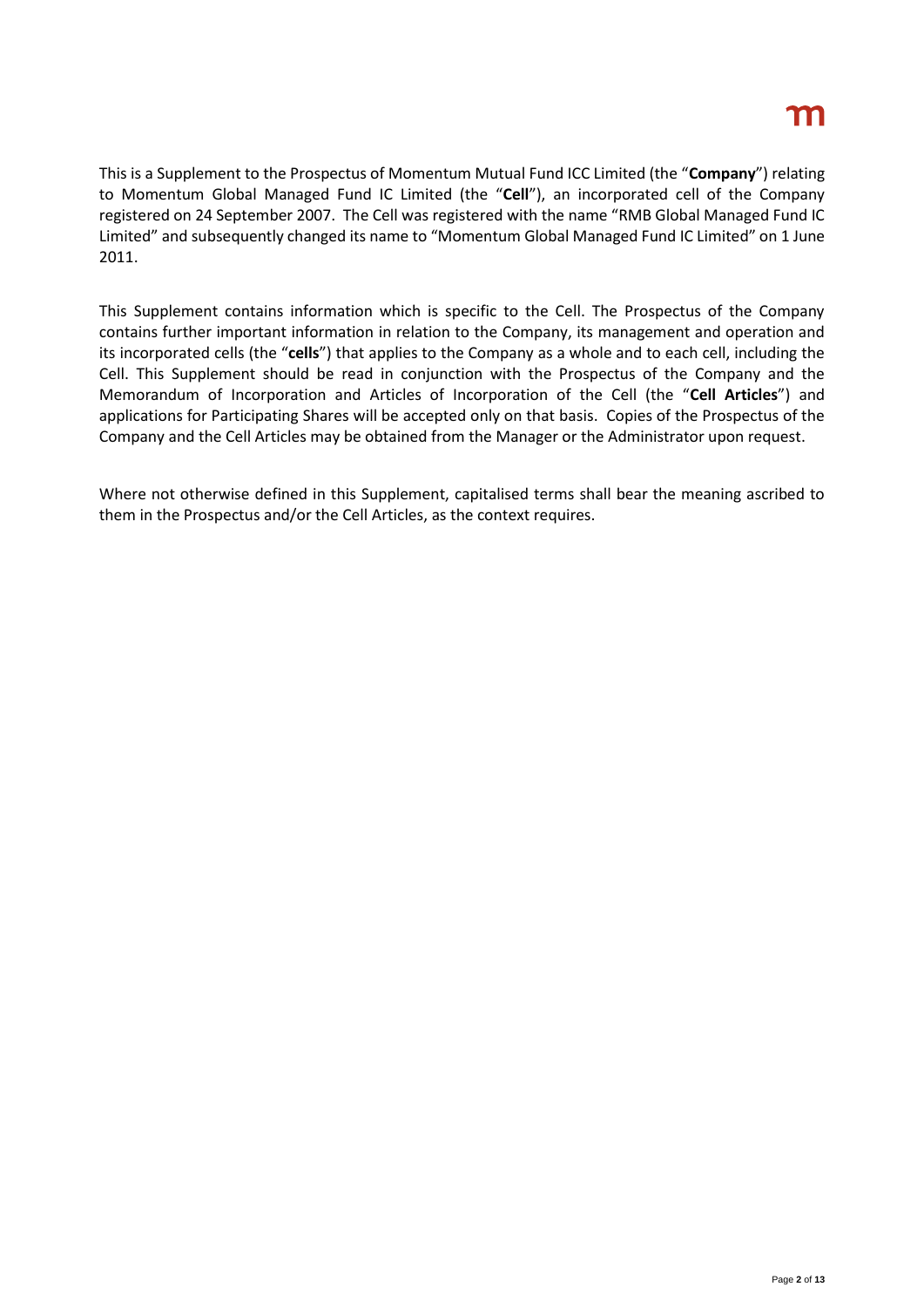This is a Supplement to the Prospectus of Momentum Mutual Fund ICC Limited (the "**Company**") relating to Momentum Global Managed Fund IC Limited (the "**Cell**"), an incorporated cell of the Company registered on 24 September 2007. The Cell was registered with the name "RMB Global Managed Fund IC Limited" and subsequently changed its name to "Momentum Global Managed Fund IC Limited" on 1 June 2011.

This Supplement contains information which is specific to the Cell. The Prospectus of the Company contains further important information in relation to the Company, its management and operation and its incorporated cells (the "**cells**") that applies to the Company as a whole and to each cell, including the Cell. This Supplement should be read in conjunction with the Prospectus of the Company and the Memorandum of Incorporation and Articles of Incorporation of the Cell (the "**Cell Articles**") and applications for Participating Shares will be accepted only on that basis. Copies of the Prospectus of the Company and the Cell Articles may be obtained from the Manager or the Administrator upon request.

Where not otherwise defined in this Supplement, capitalised terms shall bear the meaning ascribed to them in the Prospectus and/or the Cell Articles, as the context requires.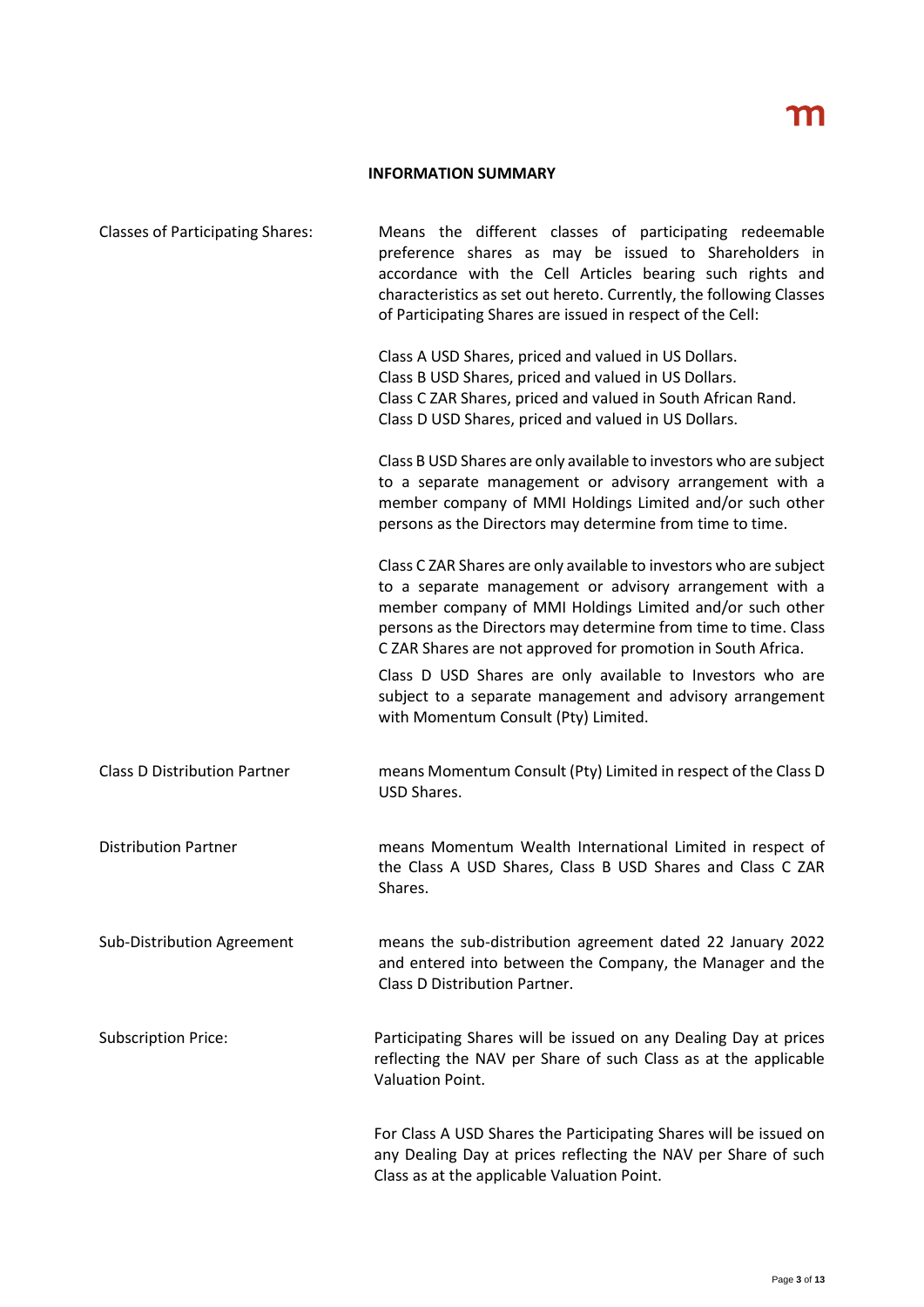# **INFORMATION SUMMARY**

| <b>Classes of Participating Shares:</b> | Means the different classes of participating redeemable<br>preference shares as may be issued to Shareholders in<br>accordance with the Cell Articles bearing such rights and<br>characteristics as set out hereto. Currently, the following Classes<br>of Participating Shares are issued in respect of the Cell:           |
|-----------------------------------------|------------------------------------------------------------------------------------------------------------------------------------------------------------------------------------------------------------------------------------------------------------------------------------------------------------------------------|
|                                         | Class A USD Shares, priced and valued in US Dollars.<br>Class B USD Shares, priced and valued in US Dollars.<br>Class C ZAR Shares, priced and valued in South African Rand.<br>Class D USD Shares, priced and valued in US Dollars.                                                                                         |
|                                         | Class B USD Shares are only available to investors who are subject<br>to a separate management or advisory arrangement with a<br>member company of MMI Holdings Limited and/or such other<br>persons as the Directors may determine from time to time.                                                                       |
|                                         | Class C ZAR Shares are only available to investors who are subject<br>to a separate management or advisory arrangement with a<br>member company of MMI Holdings Limited and/or such other<br>persons as the Directors may determine from time to time. Class<br>C ZAR Shares are not approved for promotion in South Africa. |
|                                         | Class D USD Shares are only available to Investors who are<br>subject to a separate management and advisory arrangement<br>with Momentum Consult (Pty) Limited.                                                                                                                                                              |
| <b>Class D Distribution Partner</b>     | means Momentum Consult (Pty) Limited in respect of the Class D<br>USD Shares.                                                                                                                                                                                                                                                |
| <b>Distribution Partner</b>             | means Momentum Wealth International Limited in respect of<br>the Class A USD Shares, Class B USD Shares and Class C ZAR<br>Shares.                                                                                                                                                                                           |
| Sub-Distribution Agreement              | means the sub-distribution agreement dated 22 January 2022<br>and entered into between the Company, the Manager and the<br>Class D Distribution Partner.                                                                                                                                                                     |
| <b>Subscription Price:</b>              | Participating Shares will be issued on any Dealing Day at prices<br>reflecting the NAV per Share of such Class as at the applicable<br>Valuation Point.                                                                                                                                                                      |
|                                         | For Class A USD Shares the Participating Shares will be issued on<br>any Dealing Day at prices reflecting the NAV per Share of such<br>Class as at the applicable Valuation Point.                                                                                                                                           |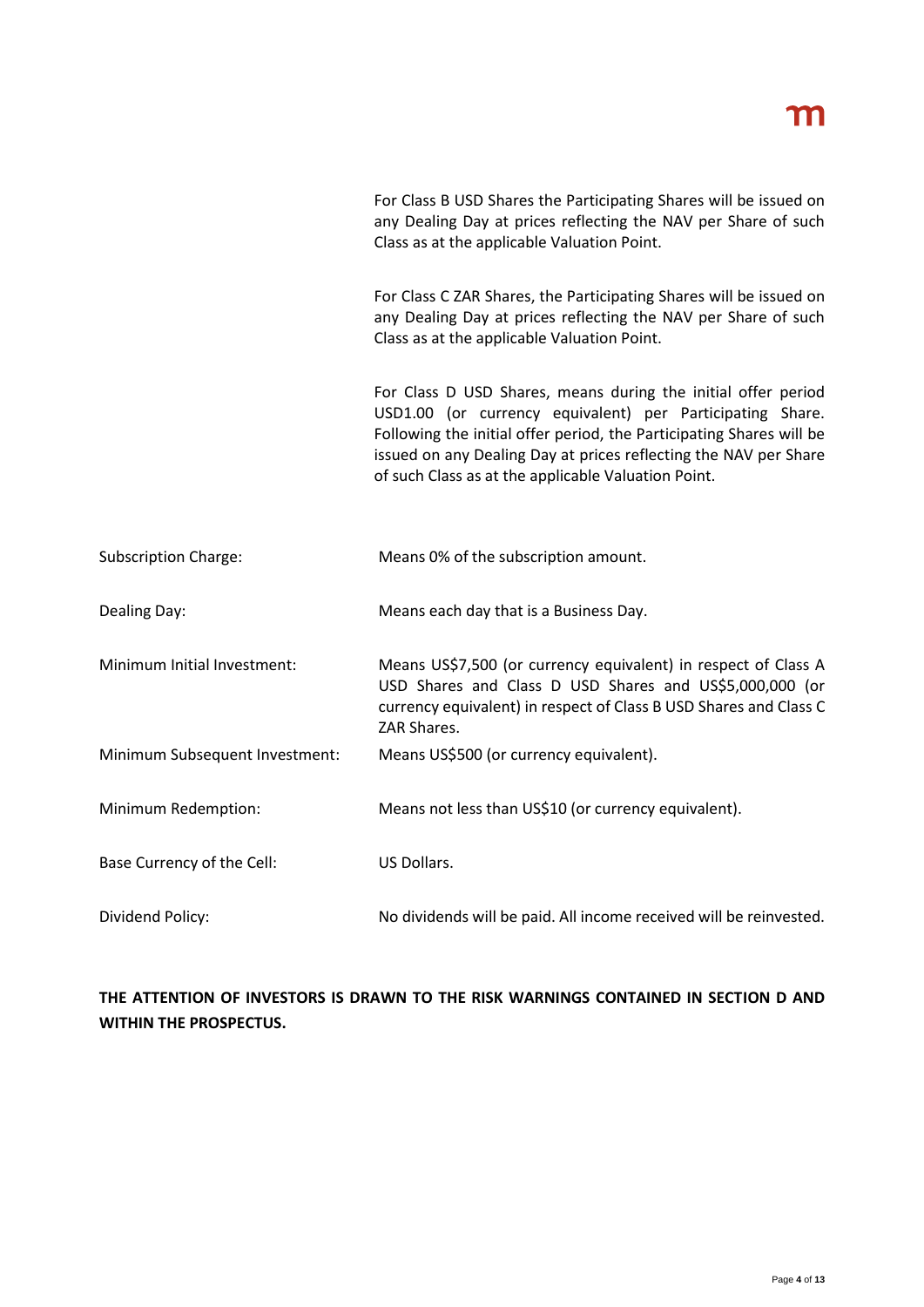| For Class B USD Shares the Participating Shares will be issued on |
|-------------------------------------------------------------------|
| any Dealing Day at prices reflecting the NAV per Share of such    |
| Class as at the applicable Valuation Point.                       |

For Class C ZAR Shares, the Participating Shares will be issued on any Dealing Day at prices reflecting the NAV per Share of such Class as at the applicable Valuation Point.

For Class D USD Shares, means during the initial offer period USD1.00 (or currency equivalent) per Participating Share. Following the initial offer period, the Participating Shares will be issued on any Dealing Day at prices reflecting the NAV per Share of such Class as at the applicable Valuation Point.

| <b>Subscription Charge:</b>    | Means 0% of the subscription amount.                                                                                                                                                                          |
|--------------------------------|---------------------------------------------------------------------------------------------------------------------------------------------------------------------------------------------------------------|
| Dealing Day:                   | Means each day that is a Business Day.                                                                                                                                                                        |
| Minimum Initial Investment:    | Means US\$7,500 (or currency equivalent) in respect of Class A<br>USD Shares and Class D USD Shares and US\$5,000,000 (or<br>currency equivalent) in respect of Class B USD Shares and Class C<br>ZAR Shares. |
| Minimum Subsequent Investment: | Means US\$500 (or currency equivalent).                                                                                                                                                                       |
| Minimum Redemption:            | Means not less than US\$10 (or currency equivalent).                                                                                                                                                          |
| Base Currency of the Cell:     | US Dollars.                                                                                                                                                                                                   |
| Dividend Policy:               | No dividends will be paid. All income received will be reinvested.                                                                                                                                            |

# **THE ATTENTION OF INVESTORS IS DRAWN TO THE RISK WARNINGS CONTAINED IN SECTION D AND WITHIN THE PROSPECTUS.**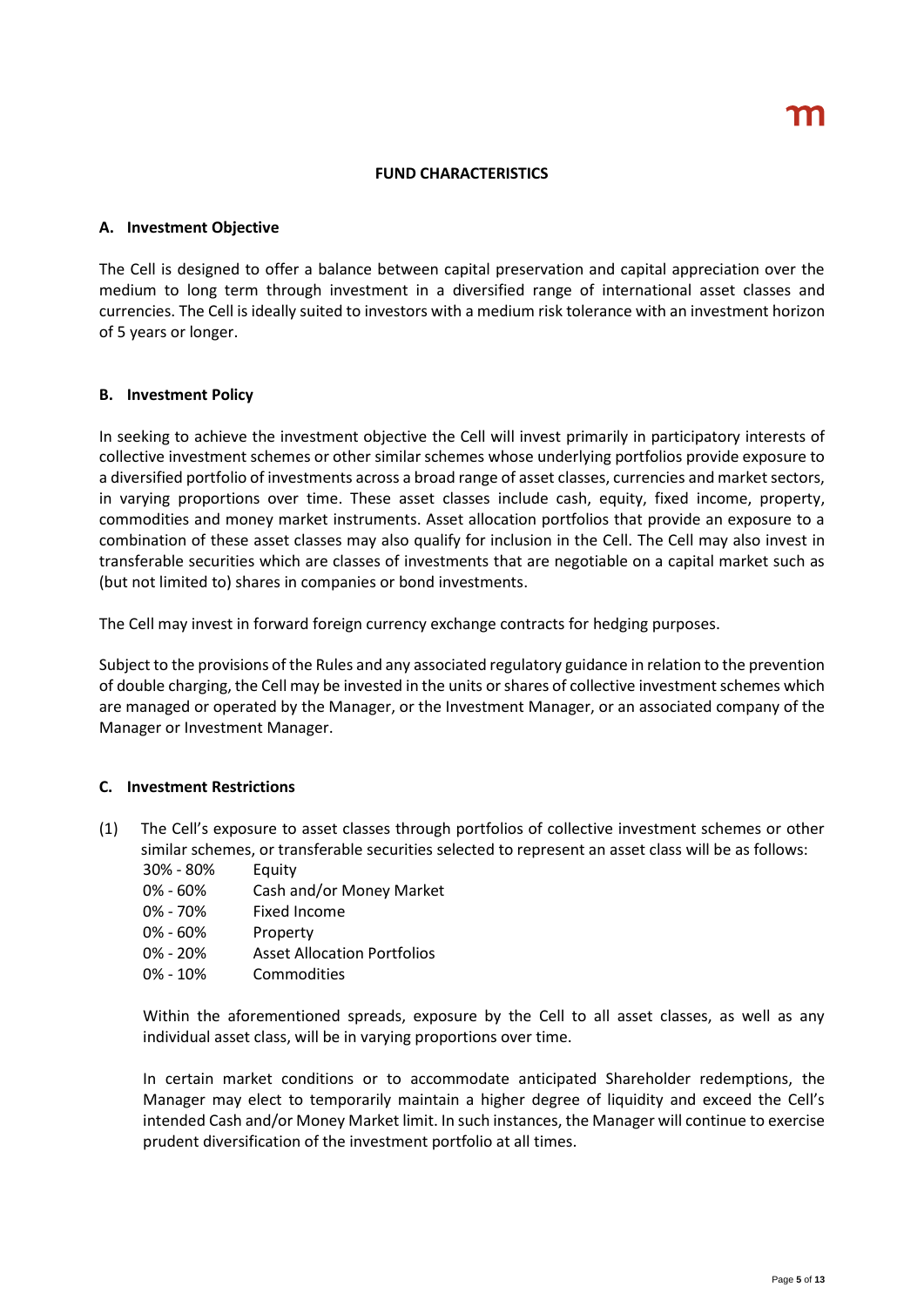#### **FUND CHARACTERISTICS**

### **A. Investment Objective**

The Cell is designed to offer a balance between capital preservation and capital appreciation over the medium to long term through investment in a diversified range of international asset classes and currencies. The Cell is ideally suited to investors with a medium risk tolerance with an investment horizon of 5 years or longer.

# **B. Investment Policy**

In seeking to achieve the investment objective the Cell will invest primarily in participatory interests of collective investment schemes or other similar schemes whose underlying portfolios provide exposure to a diversified portfolio of investments across a broad range of asset classes, currencies and market sectors, in varying proportions over time. These asset classes include cash, equity, fixed income, property, commodities and money market instruments. Asset allocation portfolios that provide an exposure to a combination of these asset classes may also qualify for inclusion in the Cell. The Cell may also invest in transferable securities which are classes of investments that are negotiable on a capital market such as (but not limited to) shares in companies or bond investments.

The Cell may invest in forward foreign currency exchange contracts for hedging purposes.

Subject to the provisions of the Rules and any associated regulatory guidance in relation to the prevention of double charging, the Cell may be invested in the units or shares of collective investment schemes which are managed or operated by the Manager, or the Investment Manager, or an associated company of the Manager or Investment Manager.

# **C. Investment Restrictions**

- (1) The Cell's exposure to asset classes through portfolios of collective investment schemes or other similar schemes, or transferable securities selected to represent an asset class will be as follows:
	- 30% 80% Equity
	- 0% 60% Cash and/or Money Market
	- 0% 70% Fixed Income
	- 0% 60% Property
	- 0% 20% Asset Allocation Portfolios
	- 0% 10% Commodities

Within the aforementioned spreads, exposure by the Cell to all asset classes, as well as any individual asset class, will be in varying proportions over time.

In certain market conditions or to accommodate anticipated Shareholder redemptions, the Manager may elect to temporarily maintain a higher degree of liquidity and exceed the Cell's intended Cash and/or Money Market limit. In such instances, the Manager will continue to exercise prudent diversification of the investment portfolio at all times.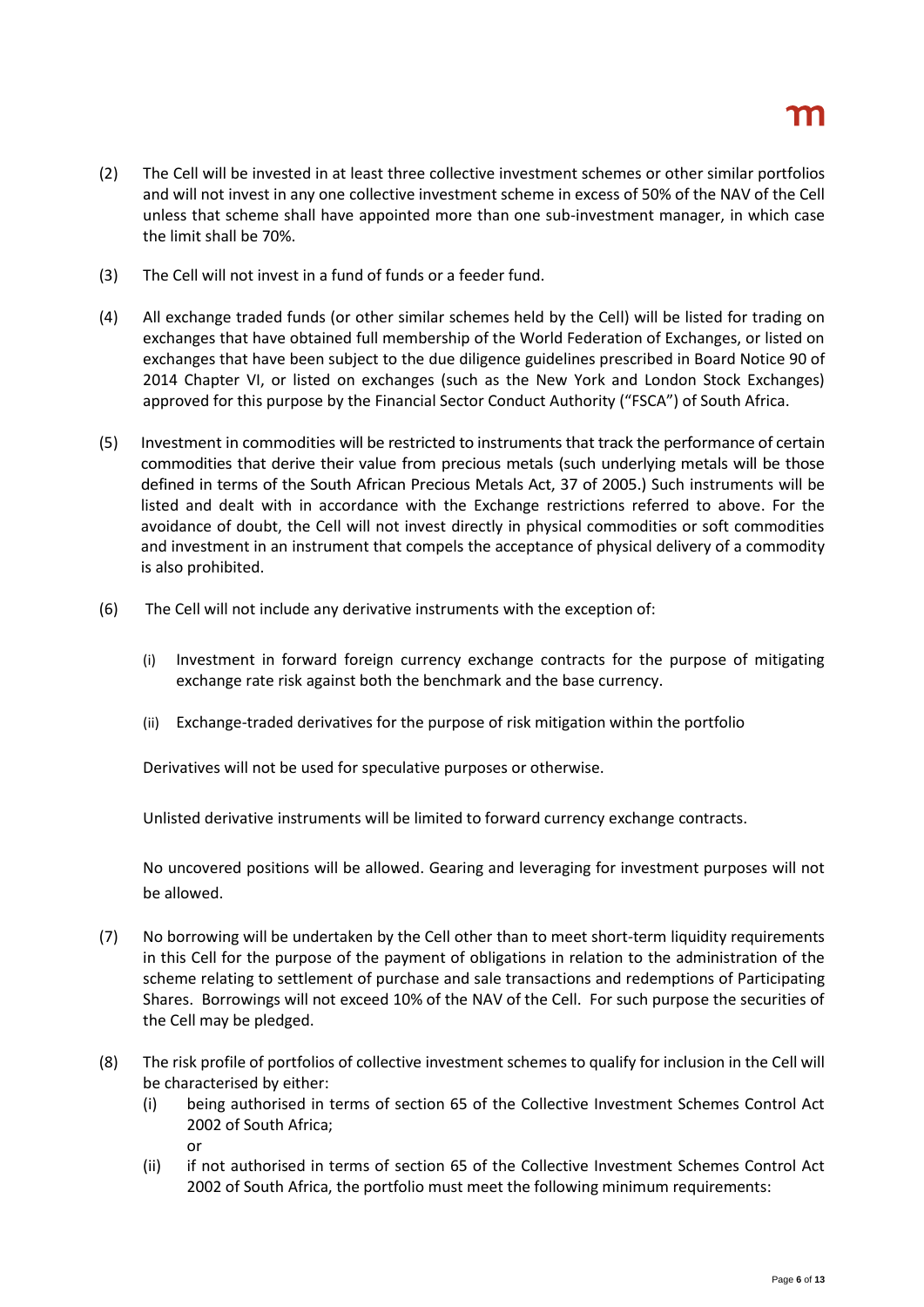- (2) The Cell will be invested in at least three collective investment schemes or other similar portfolios and will not invest in any one collective investment scheme in excess of 50% of the NAV of the Cell unless that scheme shall have appointed more than one sub-investment manager, in which case the limit shall be 70%.
- (3) The Cell will not invest in a fund of funds or a feeder fund.
- (4) All exchange traded funds (or other similar schemes held by the Cell) will be listed for trading on exchanges that have obtained full membership of the World Federation of Exchanges, or listed on exchanges that have been subject to the due diligence guidelines prescribed in Board Notice 90 of 2014 Chapter VI, or listed on exchanges (such as the New York and London Stock Exchanges) approved for this purpose by the Financial Sector Conduct Authority ("FSCA") of South Africa.
- (5) Investment in commodities will be restricted to instruments that track the performance of certain commodities that derive their value from precious metals (such underlying metals will be those defined in terms of the South African Precious Metals Act, 37 of 2005.) Such instruments will be listed and dealt with in accordance with the Exchange restrictions referred to above. For the avoidance of doubt, the Cell will not invest directly in physical commodities or soft commodities and investment in an instrument that compels the acceptance of physical delivery of a commodity is also prohibited.
- (6) The Cell will not include any derivative instruments with the exception of:
	- (i) Investment in forward foreign currency exchange contracts for the purpose of mitigating exchange rate risk against both the benchmark and the base currency.
	- (ii) Exchange-traded derivatives for the purpose of risk mitigation within the portfolio

Derivatives will not be used for speculative purposes or otherwise.

Unlisted derivative instruments will be limited to forward currency exchange contracts.

No uncovered positions will be allowed. Gearing and leveraging for investment purposes will not be allowed.

- (7) No borrowing will be undertaken by the Cell other than to meet short-term liquidity requirements in this Cell for the purpose of the payment of obligations in relation to the administration of the scheme relating to settlement of purchase and sale transactions and redemptions of Participating Shares. Borrowings will not exceed 10% of the NAV of the Cell. For such purpose the securities of the Cell may be pledged.
- (8) The risk profile of portfolios of collective investment schemes to qualify for inclusion in the Cell will be characterised by either:
	- (i) being authorised in terms of section 65 of the Collective Investment Schemes Control Act 2002 of South Africa; or
	- (ii) if not authorised in terms of section 65 of the Collective Investment Schemes Control Act 2002 of South Africa, the portfolio must meet the following minimum requirements: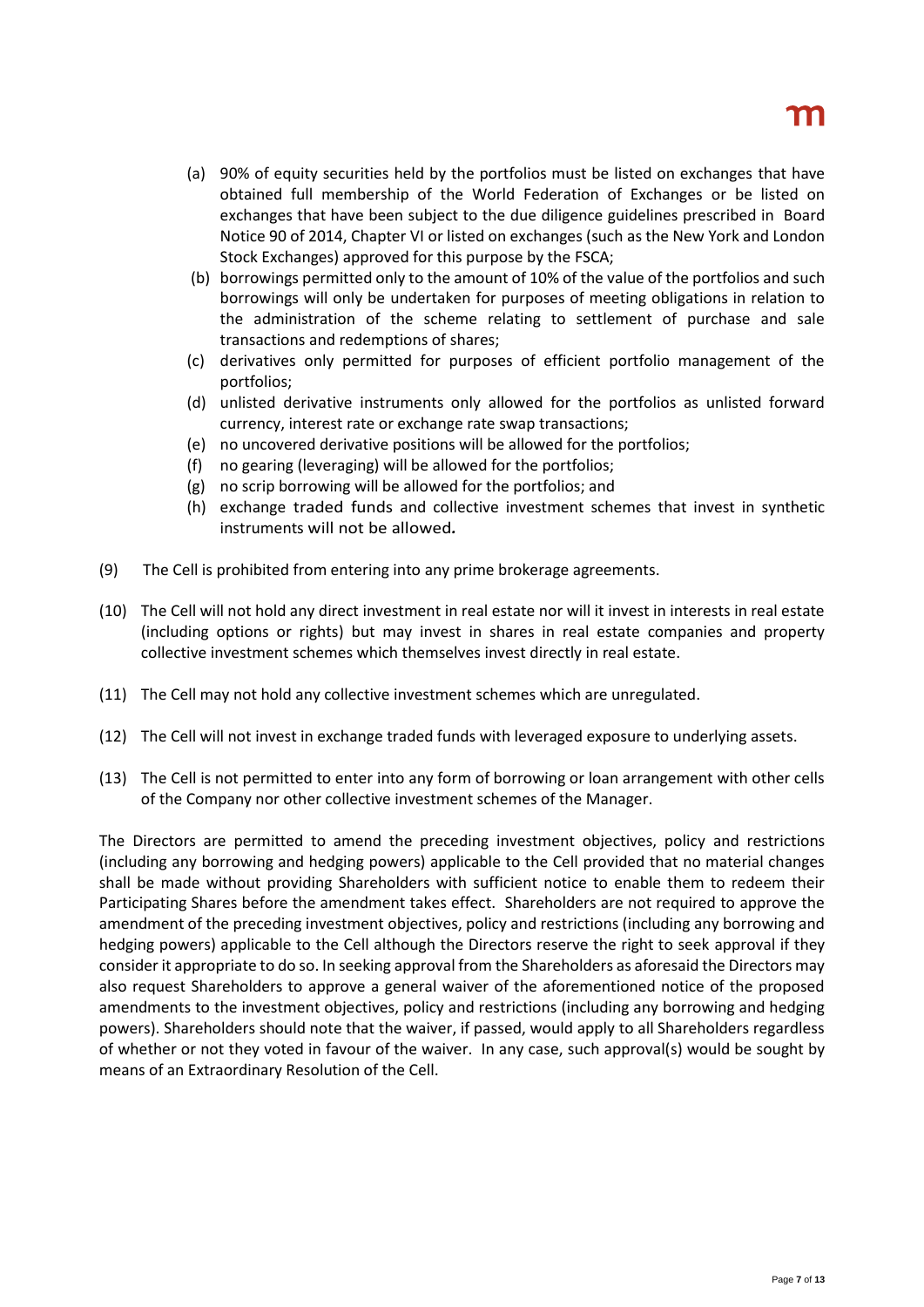- (a) 90% of equity securities held by the portfolios must be listed on exchanges that have obtained full membership of the World Federation of Exchanges or be listed on exchanges that have been subject to the due diligence guidelines prescribed in Board Notice 90 of 2014, Chapter VI or listed on exchanges (such as the New York and London Stock Exchanges) approved for this purpose by the FSCA;
- (b) borrowings permitted only to the amount of 10% of the value of the portfolios and such borrowings will only be undertaken for purposes of meeting obligations in relation to the administration of the scheme relating to settlement of purchase and sale transactions and redemptions of shares;
- (c) derivatives only permitted for purposes of efficient portfolio management of the portfolios;
- (d) unlisted derivative instruments only allowed for the portfolios as unlisted forward currency, interest rate or exchange rate swap transactions;
- (e) no uncovered derivative positions will be allowed for the portfolios;
- (f) no gearing (leveraging) will be allowed for the portfolios;
- (g) no scrip borrowing will be allowed for the portfolios; and
- (h) exchange traded funds and collective investment schemes that invest in synthetic instruments will not be allowed*.*
- (9) The Cell is prohibited from entering into any prime brokerage agreements.
- (10) The Cell will not hold any direct investment in real estate nor will it invest in interests in real estate (including options or rights) but may invest in shares in real estate companies and property collective investment schemes which themselves invest directly in real estate.
- (11) The Cell may not hold any collective investment schemes which are unregulated.
- (12) The Cell will not invest in exchange traded funds with leveraged exposure to underlying assets.
- (13) The Cell is not permitted to enter into any form of borrowing or loan arrangement with other cells of the Company nor other collective investment schemes of the Manager.

The Directors are permitted to amend the preceding investment objectives, policy and restrictions (including any borrowing and hedging powers) applicable to the Cell provided that no material changes shall be made without providing Shareholders with sufficient notice to enable them to redeem their Participating Shares before the amendment takes effect. Shareholders are not required to approve the amendment of the preceding investment objectives, policy and restrictions (including any borrowing and hedging powers) applicable to the Cell although the Directors reserve the right to seek approval if they consider it appropriate to do so. In seeking approval from the Shareholders as aforesaid the Directors may also request Shareholders to approve a general waiver of the aforementioned notice of the proposed amendments to the investment objectives, policy and restrictions (including any borrowing and hedging powers). Shareholders should note that the waiver, if passed, would apply to all Shareholders regardless of whether or not they voted in favour of the waiver. In any case, such approval(s) would be sought by means of an Extraordinary Resolution of the Cell.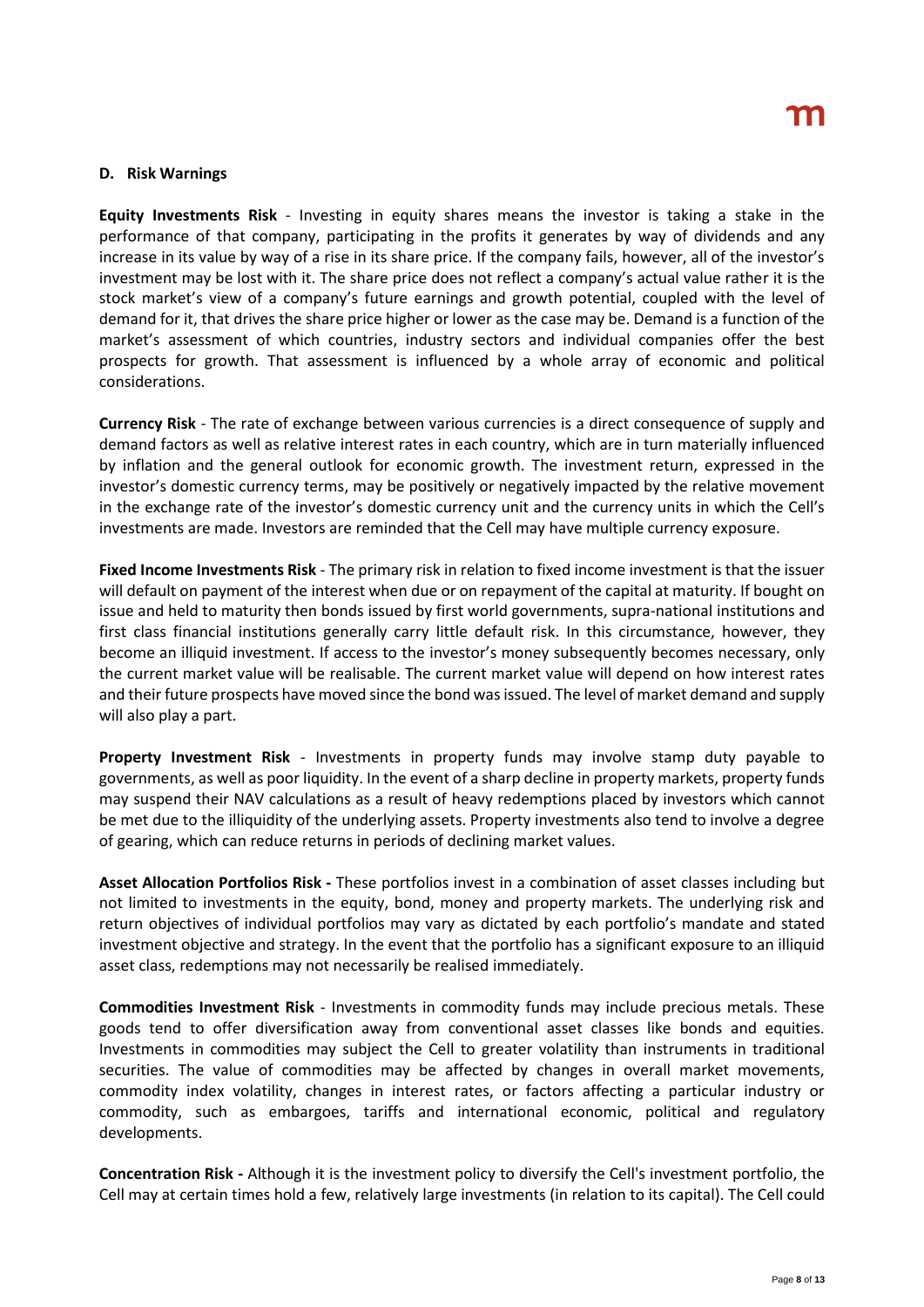### **D. Risk Warnings**

**Equity Investments Risk** - Investing in equity shares means the investor is taking a stake in the performance of that company, participating in the profits it generates by way of dividends and any increase in its value by way of a rise in its share price. If the company fails, however, all of the investor's investment may be lost with it. The share price does not reflect a company's actual value rather it is the stock market's view of a company's future earnings and growth potential, coupled with the level of demand for it, that drives the share price higher or lower as the case may be. Demand is a function of the market's assessment of which countries, industry sectors and individual companies offer the best prospects for growth. That assessment is influenced by a whole array of economic and political considerations.

**Currency Risk** - The rate of exchange between various currencies is a direct consequence of supply and demand factors as well as relative interest rates in each country, which are in turn materially influenced by inflation and the general outlook for economic growth. The investment return, expressed in the investor's domestic currency terms, may be positively or negatively impacted by the relative movement in the exchange rate of the investor's domestic currency unit and the currency units in which the Cell's investments are made. Investors are reminded that the Cell may have multiple currency exposure.

**Fixed Income Investments Risk** - The primary risk in relation to fixed income investment is that the issuer will default on payment of the interest when due or on repayment of the capital at maturity. If bought on issue and held to maturity then bonds issued by first world governments, supra-national institutions and first class financial institutions generally carry little default risk. In this circumstance, however, they become an illiquid investment. If access to the investor's money subsequently becomes necessary, only the current market value will be realisable. The current market value will depend on how interest rates and their future prospects have moved since the bond was issued. The level of market demand and supply will also play a part.

**Property Investment Risk** - Investments in property funds may involve stamp duty payable to governments, as well as poor liquidity. In the event of a sharp decline in property markets, property funds may suspend their NAV calculations as a result of heavy redemptions placed by investors which cannot be met due to the illiquidity of the underlying assets. Property investments also tend to involve a degree of gearing, which can reduce returns in periods of declining market values.

**Asset Allocation Portfolios Risk -** These portfolios invest in a combination of asset classes including but not limited to investments in the equity, bond, money and property markets. The underlying risk and return objectives of individual portfolios may vary as dictated by each portfolio's mandate and stated investment objective and strategy. In the event that the portfolio has a significant exposure to an illiquid asset class, redemptions may not necessarily be realised immediately.

**Commodities Investment Risk** - Investments in commodity funds may include precious metals. These goods tend to offer diversification away from conventional asset classes like bonds and equities. Investments in commodities may subject the Cell to greater volatility than instruments in traditional securities. The value of commodities may be affected by changes in overall market movements, commodity index volatility, changes in interest rates, or factors affecting a particular industry or commodity, such as embargoes, tariffs and international economic, political and regulatory developments.

**Concentration Risk -** Although it is the investment policy to diversify the Cell's investment portfolio, the Cell may at certain times hold a few, relatively large investments (in relation to its capital). The Cell could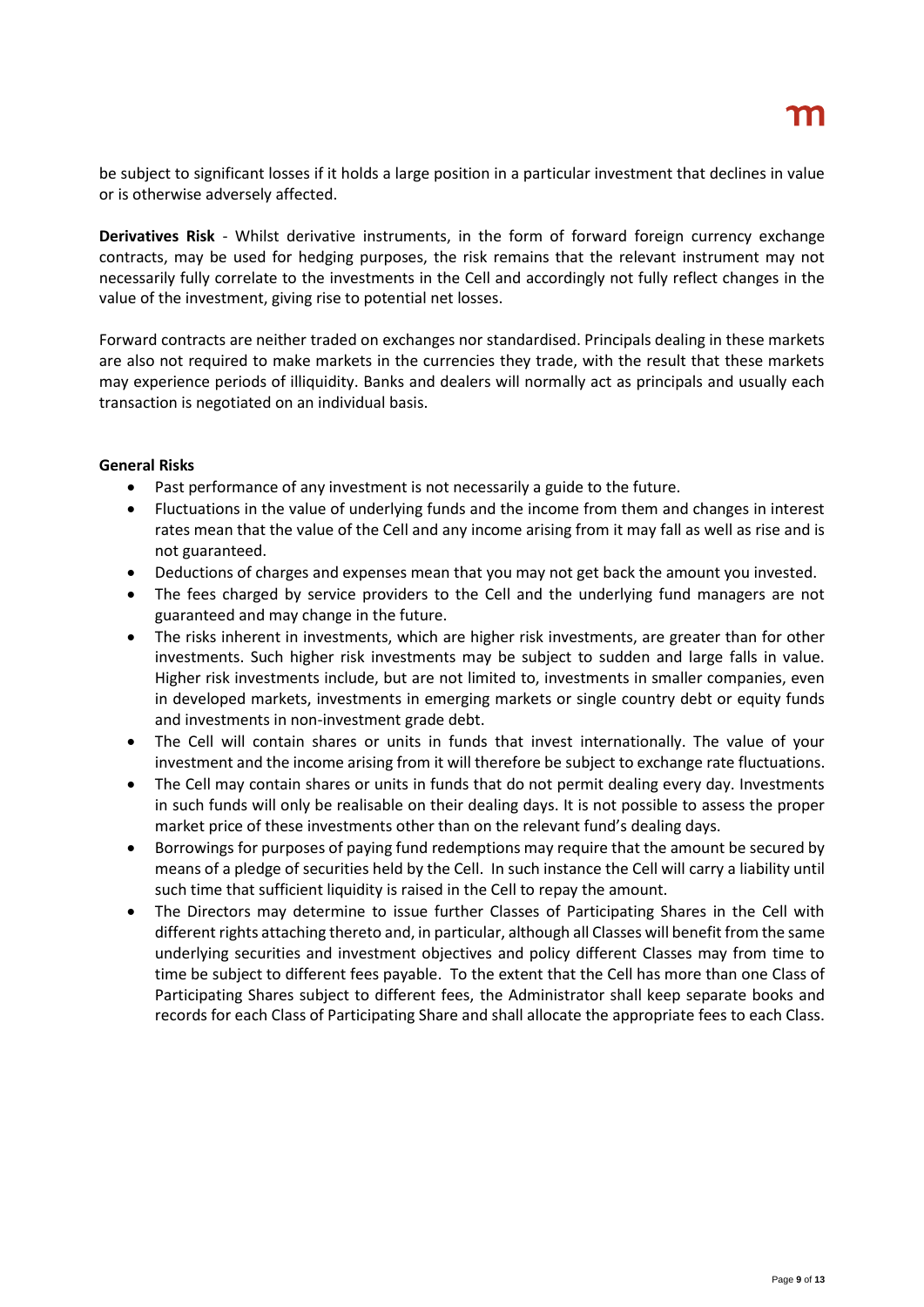be subject to significant losses if it holds a large position in a particular investment that declines in value or is otherwise adversely affected.

**Derivatives Risk** - Whilst derivative instruments, in the form of forward foreign currency exchange contracts, may be used for hedging purposes, the risk remains that the relevant instrument may not necessarily fully correlate to the investments in the Cell and accordingly not fully reflect changes in the value of the investment, giving rise to potential net losses.

Forward contracts are neither traded on exchanges nor standardised. Principals dealing in these markets are also not required to make markets in the currencies they trade, with the result that these markets may experience periods of illiquidity. Banks and dealers will normally act as principals and usually each transaction is negotiated on an individual basis.

# **General Risks**

- Past performance of any investment is not necessarily a guide to the future.
- Fluctuations in the value of underlying funds and the income from them and changes in interest rates mean that the value of the Cell and any income arising from it may fall as well as rise and is not guaranteed.
- Deductions of charges and expenses mean that you may not get back the amount you invested.
- The fees charged by service providers to the Cell and the underlying fund managers are not guaranteed and may change in the future.
- The risks inherent in investments, which are higher risk investments, are greater than for other investments. Such higher risk investments may be subject to sudden and large falls in value. Higher risk investments include, but are not limited to, investments in smaller companies, even in developed markets, investments in emerging markets or single country debt or equity funds and investments in non-investment grade debt.
- The Cell will contain shares or units in funds that invest internationally. The value of your investment and the income arising from it will therefore be subject to exchange rate fluctuations.
- The Cell may contain shares or units in funds that do not permit dealing every day. Investments in such funds will only be realisable on their dealing days. It is not possible to assess the proper market price of these investments other than on the relevant fund's dealing days.
- Borrowings for purposes of paying fund redemptions may require that the amount be secured by means of a pledge of securities held by the Cell. In such instance the Cell will carry a liability until such time that sufficient liquidity is raised in the Cell to repay the amount.
- The Directors may determine to issue further Classes of Participating Shares in the Cell with different rights attaching thereto and, in particular, although all Classes will benefit from the same underlying securities and investment objectives and policy different Classes may from time to time be subject to different fees payable. To the extent that the Cell has more than one Class of Participating Shares subject to different fees, the Administrator shall keep separate books and records for each Class of Participating Share and shall allocate the appropriate fees to each Class.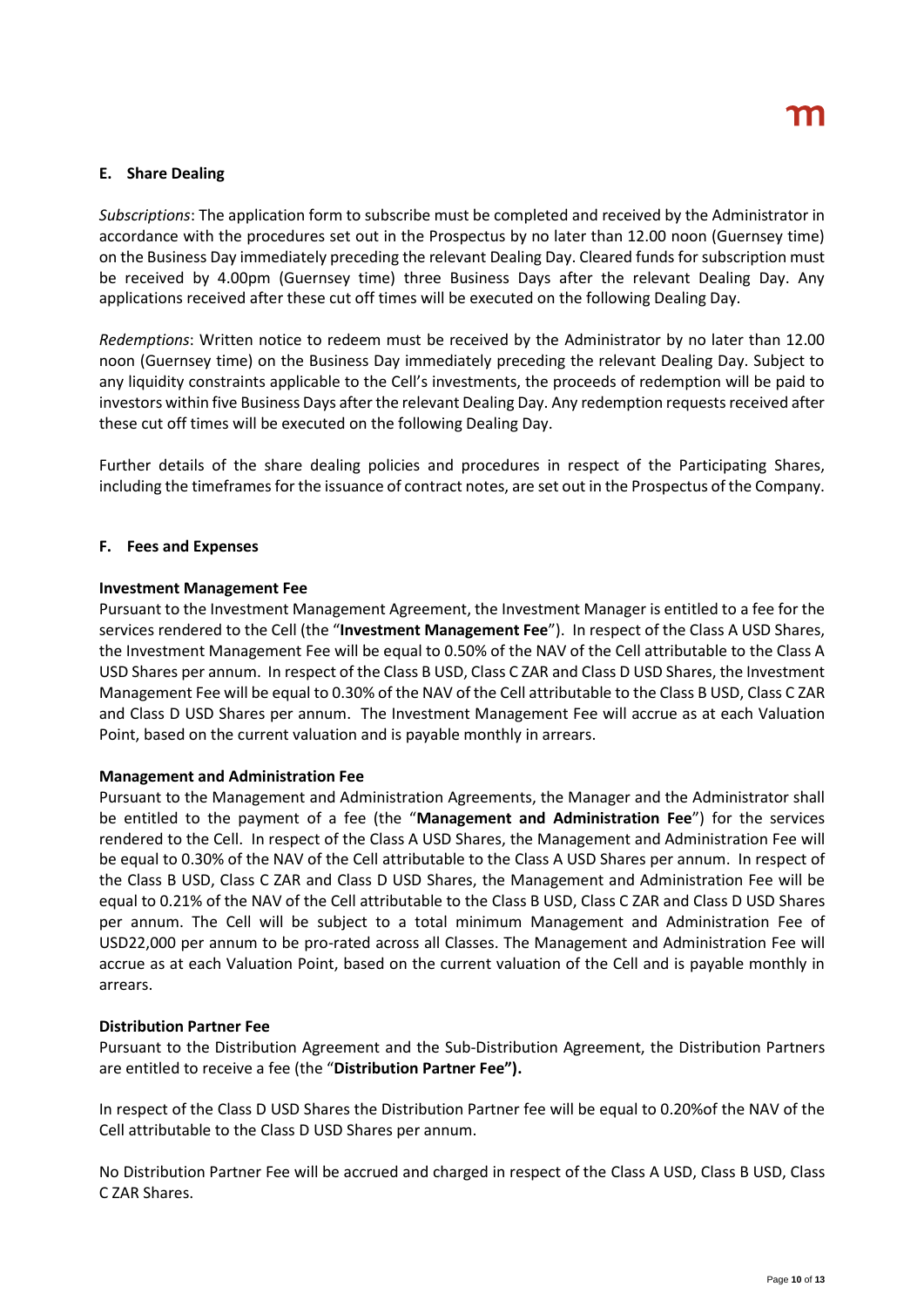# **E. Share Dealing**

*Subscriptions*: The application form to subscribe must be completed and received by the Administrator in accordance with the procedures set out in the Prospectus by no later than 12.00 noon (Guernsey time) on the Business Day immediately preceding the relevant Dealing Day. Cleared funds for subscription must be received by 4.00pm (Guernsey time) three Business Days after the relevant Dealing Day. Any applications received after these cut off times will be executed on the following Dealing Day.

*Redemptions*: Written notice to redeem must be received by the Administrator by no later than 12.00 noon (Guernsey time) on the Business Day immediately preceding the relevant Dealing Day. Subject to any liquidity constraints applicable to the Cell's investments, the proceeds of redemption will be paid to investors within five Business Days after the relevant Dealing Day. Any redemption requests received after these cut off times will be executed on the following Dealing Day.

Further details of the share dealing policies and procedures in respect of the Participating Shares, including the timeframes for the issuance of contract notes, are set out in the Prospectus of the Company.

# **F. Fees and Expenses**

# **Investment Management Fee**

Pursuant to the Investment Management Agreement, the Investment Manager is entitled to a fee for the services rendered to the Cell (the "**Investment Management Fee**"). In respect of the Class A USD Shares, the Investment Management Fee will be equal to 0.50% of the NAV of the Cell attributable to the Class A USD Shares per annum. In respect of the Class B USD, Class C ZAR and Class D USD Shares, the Investment Management Fee will be equal to 0.30% of the NAV of the Cell attributable to the Class B USD, Class C ZAR and Class D USD Shares per annum. The Investment Management Fee will accrue as at each Valuation Point, based on the current valuation and is payable monthly in arrears.

# **Management and Administration Fee**

Pursuant to the Management and Administration Agreements, the Manager and the Administrator shall be entitled to the payment of a fee (the "**Management and Administration Fee**") for the services rendered to the Cell. In respect of the Class A USD Shares, the Management and Administration Fee will be equal to 0.30% of the NAV of the Cell attributable to the Class A USD Shares per annum. In respect of the Class B USD, Class C ZAR and Class D USD Shares, the Management and Administration Fee will be equal to 0.21% of the NAV of the Cell attributable to the Class B USD, Class C ZAR and Class D USD Shares per annum. The Cell will be subject to a total minimum Management and Administration Fee of USD22,000 per annum to be pro-rated across all Classes. The Management and Administration Fee will accrue as at each Valuation Point, based on the current valuation of the Cell and is payable monthly in arrears.

#### **Distribution Partner Fee**

Pursuant to the Distribution Agreement and the Sub-Distribution Agreement, the Distribution Partners are entitled to receive a fee (the "**Distribution Partner Fee").**

In respect of the Class D USD Shares the Distribution Partner fee will be equal to 0.20%of the NAV of the Cell attributable to the Class D USD Shares per annum.

No Distribution Partner Fee will be accrued and charged in respect of the Class A USD, Class B USD, Class C ZAR Shares.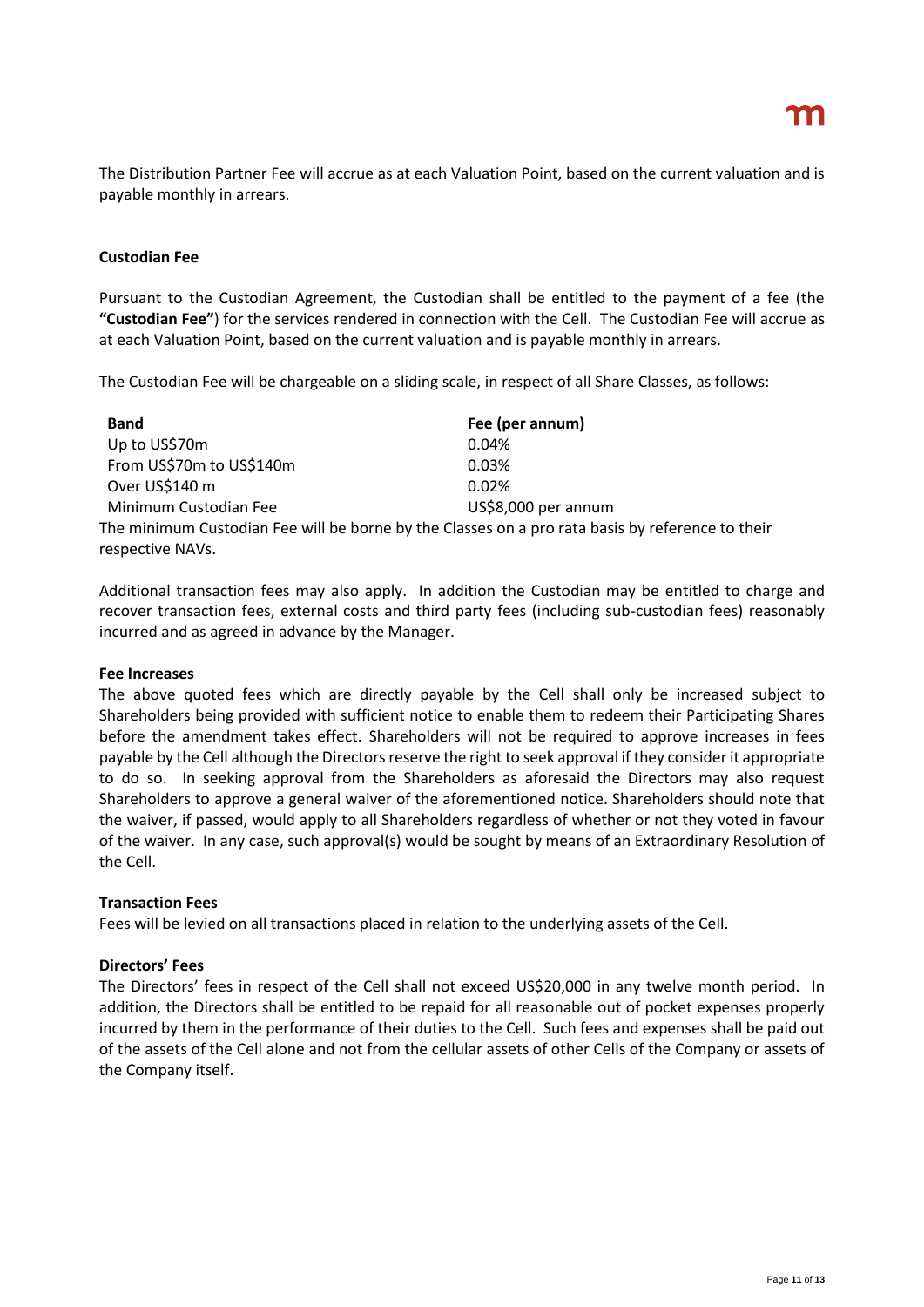The Distribution Partner Fee will accrue as at each Valuation Point, based on the current valuation and is payable monthly in arrears.

# **Custodian Fee**

Pursuant to the Custodian Agreement, the Custodian shall be entitled to the payment of a fee (the **"Custodian Fee"**) for the services rendered in connection with the Cell. The Custodian Fee will accrue as at each Valuation Point, based on the current valuation and is payable monthly in arrears.

The Custodian Fee will be chargeable on a sliding scale, in respect of all Share Classes, as follows:

| <b>Band</b>                                                                                                          | Fee (per annum)     |
|----------------------------------------------------------------------------------------------------------------------|---------------------|
| Up to US\$70m                                                                                                        | 0.04%               |
| From US\$70m to US\$140m                                                                                             | 0.03%               |
| Over US\$140 m                                                                                                       | 0.02%               |
| Minimum Custodian Fee                                                                                                | US\$8,000 per annum |
| The minimum Custodian Fee will be borne by the Classes on a pro rata basis by reference to their<br>respective NAVs. |                     |

Additional transaction fees may also apply. In addition the Custodian may be entitled to charge and recover transaction fees, external costs and third party fees (including sub-custodian fees) reasonably incurred and as agreed in advance by the Manager.

# **Fee Increases**

The above quoted fees which are directly payable by the Cell shall only be increased subject to Shareholders being provided with sufficient notice to enable them to redeem their Participating Shares before the amendment takes effect. Shareholders will not be required to approve increases in fees payable by the Cell although the Directors reserve the right to seek approval if they consider it appropriate to do so. In seeking approval from the Shareholders as aforesaid the Directors may also request Shareholders to approve a general waiver of the aforementioned notice. Shareholders should note that the waiver, if passed, would apply to all Shareholders regardless of whether or not they voted in favour of the waiver. In any case, such approval(s) would be sought by means of an Extraordinary Resolution of the Cell.

# **Transaction Fees**

Fees will be levied on all transactions placed in relation to the underlying assets of the Cell.

# **Directors' Fees**

The Directors' fees in respect of the Cell shall not exceed US\$20,000 in any twelve month period. In addition, the Directors shall be entitled to be repaid for all reasonable out of pocket expenses properly incurred by them in the performance of their duties to the Cell. Such fees and expenses shall be paid out of the assets of the Cell alone and not from the cellular assets of other Cells of the Company or assets of the Company itself.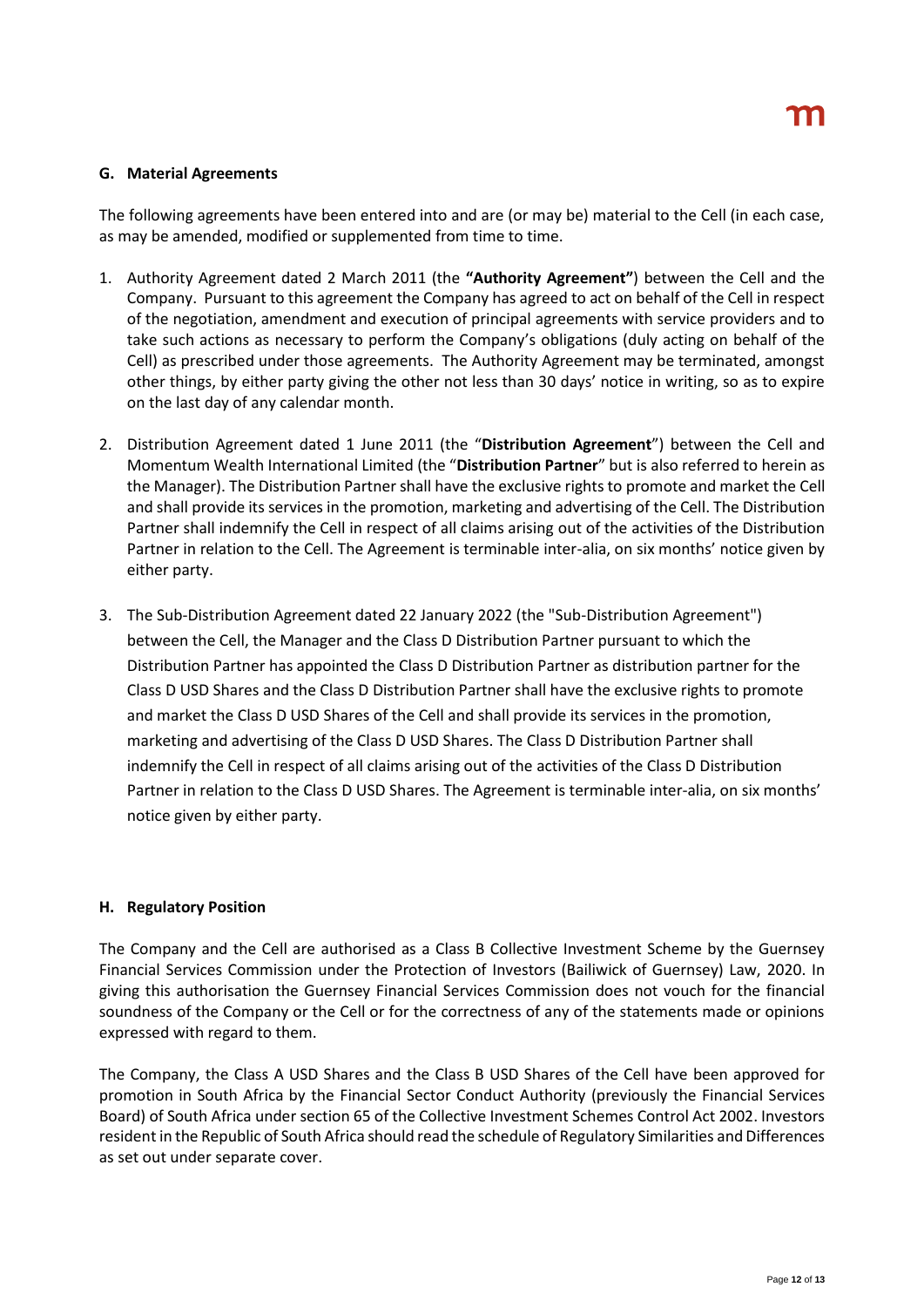### **G. Material Agreements**

The following agreements have been entered into and are (or may be) material to the Cell (in each case, as may be amended, modified or supplemented from time to time.

- 1. Authority Agreement dated 2 March 2011 (the **"Authority Agreement"**) between the Cell and the Company. Pursuant to this agreement the Company has agreed to act on behalf of the Cell in respect of the negotiation, amendment and execution of principal agreements with service providers and to take such actions as necessary to perform the Company's obligations (duly acting on behalf of the Cell) as prescribed under those agreements. The Authority Agreement may be terminated, amongst other things, by either party giving the other not less than 30 days' notice in writing, so as to expire on the last day of any calendar month.
- 2. Distribution Agreement dated 1 June 2011 (the "**Distribution Agreement**") between the Cell and Momentum Wealth International Limited (the "**Distribution Partner**" but is also referred to herein as the Manager). The Distribution Partner shall have the exclusive rights to promote and market the Cell and shall provide its services in the promotion, marketing and advertising of the Cell. The Distribution Partner shall indemnify the Cell in respect of all claims arising out of the activities of the Distribution Partner in relation to the Cell. The Agreement is terminable inter-alia, on six months' notice given by either party.
- 3. The Sub-Distribution Agreement dated 22 January 2022 (the "Sub-Distribution Agreement") between the Cell, the Manager and the Class D Distribution Partner pursuant to which the Distribution Partner has appointed the Class D Distribution Partner as distribution partner for the Class D USD Shares and the Class D Distribution Partner shall have the exclusive rights to promote and market the Class D USD Shares of the Cell and shall provide its services in the promotion, marketing and advertising of the Class D USD Shares. The Class D Distribution Partner shall indemnify the Cell in respect of all claims arising out of the activities of the Class D Distribution Partner in relation to the Class D USD Shares. The Agreement is terminable inter-alia, on six months' notice given by either party.

# **H. Regulatory Position**

The Company and the Cell are authorised as a Class B Collective Investment Scheme by the Guernsey Financial Services Commission under the Protection of Investors (Bailiwick of Guernsey) Law, 2020. In giving this authorisation the Guernsey Financial Services Commission does not vouch for the financial soundness of the Company or the Cell or for the correctness of any of the statements made or opinions expressed with regard to them.

The Company, the Class A USD Shares and the Class B USD Shares of the Cell have been approved for promotion in South Africa by the Financial Sector Conduct Authority (previously the Financial Services Board) of South Africa under section 65 of the Collective Investment Schemes Control Act 2002. Investors resident in the Republic of South Africa should read the schedule of Regulatory Similarities and Differences as set out under separate cover.